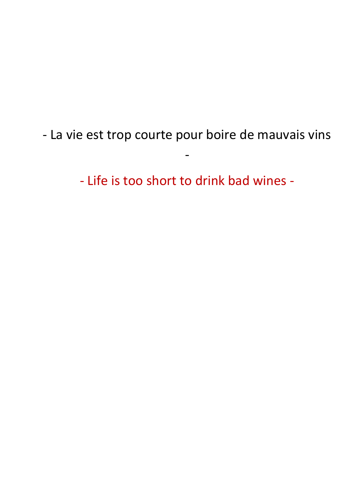- La vie est trop courte pour boire de mauvais vins

-

- Life is too short to drink bad wines -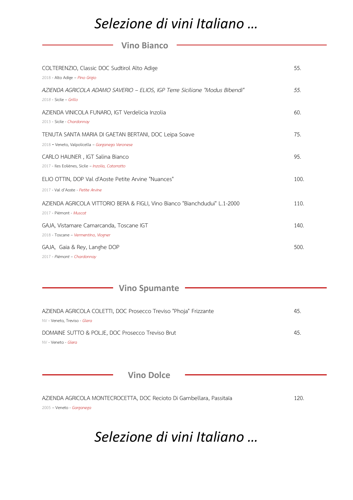### *Selezione di vini Italiano …*

#### **Vino Bianco**

| COLTERENZIO, Classic DOC Sudtirol Alto Adige<br>2018 - Alto Adige - Pino Grigio                           | 55.  |
|-----------------------------------------------------------------------------------------------------------|------|
| AZIENDA AGRICOLA ADAMO SAVERIO – ELIOS, IGP Terre Siciliane "Modus Bibendi"<br>$2018$ - Sicile - Grillo   | 55.  |
| AZIENDA VINICOLA FUNARO, IGT Verdelicia Inzolia<br>2013 - Sicile - Chardonnay                             | 60.  |
| TENUTA SANTA MARIA DI GAETAN BERTANI, DOC Leipa Soave<br>2018 - Veneto, Valpolicella - Garganega Veronese | 75.  |
| CARLO HAUNER, IGT Salina Bianco<br>2017 - Iles Eoliènes, Sicile - Inzolia, Catarratto                     | 95.  |
| ELIO OTTIN, DOP Val d'Aoste Petite Arvine "Nuances"<br>2017 - Val d'Aoste - Petite Arvine                 | 100. |
| AZIENDA AGRICOLA VITTORIO BERA & FIGLI, Vino Bianco "Bianchdudui" L.1-2000<br>2017 - Piémont - Muscat     | 110. |
| GAJA, Vistamare Camarcanda, Toscane IGT<br>2018 - Toscane - Vermentino, Viogner                           | 140. |
| GAJA, Gaia & Rey, Langhe DOP<br>2017 - Piémont - Chardonnay                                               | 500. |

**Vino Spumante** 

| AZIENDA AGRICOLA COLETTI, DOC Prosecco Treviso "Phoja" Frizzante | 45. |
|------------------------------------------------------------------|-----|
| NV - Veneto, Treviso - <i>Glera</i>                              |     |
| DOMAINE SUTTO & POLJE, DOC Prosecco Treviso Brut                 | 45. |
| NV - Veneto - <i>Glera</i>                                       |     |

**Vino Dolce**

| AZIENDA AGRICOLA MONTECROCETTA, DOC Recioto Di Gambellara, Passitaïa | 120. |
|----------------------------------------------------------------------|------|
| 2005 - Veneto - Garganega                                            |      |

### *Selezione di vini Italiano …*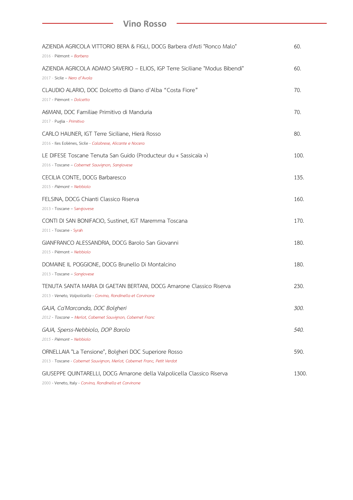#### **Vino Rosso**

| AZIENDA AGRICOLA VITTORIO BERA & FIGLI, DOCG Barbera d'Asti "Ronco Malo"<br>2016 - Piémont - Barbera                                  | 60.  |
|---------------------------------------------------------------------------------------------------------------------------------------|------|
| AZIENDA AGRICOLA ADAMO SAVERIO - ELIOS, IGP Terre Siciliane "Modus Bibendi"<br>2017 - Sicile - Nero d'Avola                           | 60.  |
| CLAUDIO ALARIO, DOC Dolcetto di Diano d'Alba "Costa Fiore"<br>2017 - Piémont - Dolcetto                                               | 70.  |
| A6MANI, DOC Familiae Primitivo di Manduria<br>2017 - Puglia - Primitivo                                                               | 70.  |
| CARLO HAUNER, IGT Terre Siciliane, Hierà Rosso<br>2016 - Iles Eoliènes, Sicile - Calabrese, Alicante e Nocera                         | 80.  |
| LE DIFESE Toscane Tenuta San Guido (Producteur du « Sassicaïa »)<br>2016 - Toscane - Cabernet Sauvignon, Sangiovese                   | 100. |
| CECILIA CONTE, DOCG Barbaresco<br>2015 - Piémont - Nebbiolo                                                                           | 135. |
| FELSINA, DOCG Chianti Classico Riserva<br>2013 - Toscane – Sangiovese                                                                 | 160. |
| CONTI DI SAN BONIFACIO, Sustinet, IGT Maremma Toscana<br>2011 - Toscane - Syrah                                                       | 170. |
| GIANFRANCO ALESSANDRIA, DOCG Barolo San Giovanni<br>2015 - Piémont - Nebbiolo                                                         | 180. |
| DOMAINE IL POGGIONE, DOCG Brunello Di Montalcino<br>2013 - Toscane - Sangiovese                                                       | 180. |
| TENUTA SANTA MARIA DI GAETAN BERTANI, DOCG Amarone Classico Riserva<br>2013 - Veneto, Valpolicella - Corvina, Rondinella et Corvinone | 230. |
| GAJA, Ca'Marcanda, DOC Bolgheri<br>2012 - Toscane - Merlot, Cabernet Sauvignon, Cabernet Franc                                        | 300. |
| GAJA, Sperss-Nebbiolo, DOP Barolo<br>2015 - Piémont - Nebbiolo                                                                        | 540. |
| ORNELLAIA "La Tensione", Bolgheri DOC Superiore Rosso<br>2013 - Toscane - Cabernet Sauvignon, Merlot, Cabernet Franc, Petit Verdot    | 590. |
| GIUSEPPE QUINTARELLI, DOCG Amarone della Valpolicella Classico Riserva<br>$line$ Pondingle at $C$                                     | 1300 |

2000 - Veneto, Italy - *Corvina, Rondinella et Corvinone*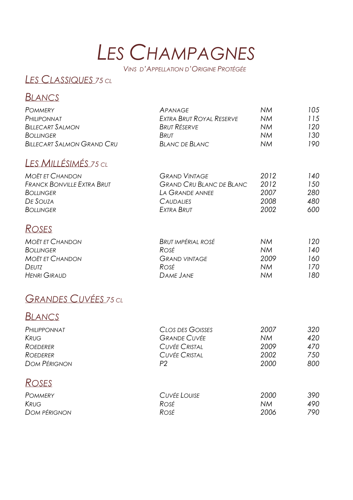# *LES CHAMPAGNES*

*VINS D'APPELLATION D'ORIGINE PROTÉGÉE*

### *LES CLASSIQUES <sup>75</sup> CL*

#### *BLANCS*

| <b>POMMERY</b>                    | APANAGE                  | NM.       | 105 |
|-----------------------------------|--------------------------|-----------|-----|
| PHILIPONNAT                       | EXTRA BRUT ROYAL RESERVE | <b>NM</b> | 115 |
| <b>BILLECART SALMON</b>           | Brut Réserve             | NM.       | 120 |
| <b>BOLLINGER</b>                  | <b>BRUT</b>              | <b>NM</b> | 130 |
| <b>BILLECART SALMON GRAND CRU</b> | <b>BLANC DE BLANC</b>    | <b>NM</b> | 190 |

### *LES MILLÉSIMÉS <sup>75</sup> CL*

| <b>MOËT ET CHANDON</b>            | <b>GRAND VINTAGE</b>            | 2012 | 140 |
|-----------------------------------|---------------------------------|------|-----|
| <b>FRANCK BONVILLE EXTRA BRUT</b> | <b>GRAND CRU BLANC DE BLANC</b> | 2012 | 150 |
| <b>BOLLINGER</b>                  | LA GRANDE ANNEE                 | 2007 | 280 |
| De Souza                          | <b>CAUDALIES</b>                | 2008 | 480 |
| BOLLINGER                         | EXTRA BRUT                      | 2002 | 600 |

### *ROSES*

| <b>MOËT ET CHANDON</b> | Brut impérial rosé   | ΝM   | 120. |
|------------------------|----------------------|------|------|
| BOLLINGER              | Rosé                 | NΜ   | 140  |
| <b>MOËT ET CHANDON</b> | <b>GRAND VINTAGE</b> | 2009 | 160. |
| <b>DEUTZ</b>           | Rosé                 | NΜ   | 170. |
| <b>HENRI GIRAUD</b>    | DAME JANE            | NΜ   | 180  |

### *GRANDES CUVÉES <sup>75</sup> CL*

#### *BLANCS*

| PHILIPPONNAT        | CLOS DES GOISSES     | 2007      | 320  |
|---------------------|----------------------|-----------|------|
| <b>KRUG</b>         | <b>GRANDE CUVÉE</b>  | <b>NM</b> | 420  |
| ROEDERER            | <b>CUVÉE CRISTAL</b> | 2009      | 470  |
| <b>ROEDERER</b>     | <b>CUVÉE CRISTAL</b> | 2002      | 750. |
| <b>DOM PÉRIGNON</b> | P2                   | 2000      | 800  |
|                     |                      |           |      |

### *ROSES*

| <b>POMMERY</b>      | Cuvée Louise | 2000 | 390 |
|---------------------|--------------|------|-----|
| <b>KRUG</b>         | Rosé         | ΝM   | 490 |
| <b>DOM PÉRIGNON</b> | Rosé         | 2006 | 790 |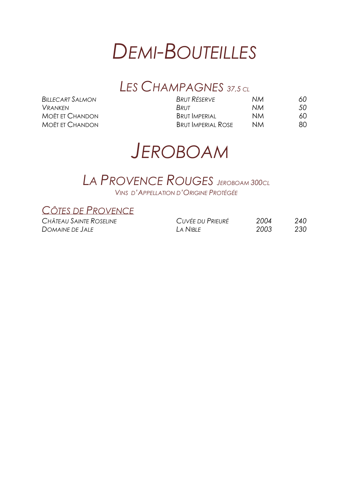

### *LES CHAMPAGNES 37,5 CL*

| Brut Réserve              | 60.                                 |
|---------------------------|-------------------------------------|
| BRUT                      | 50                                  |
| <b>BRUT IMPERIAL</b>      | 60                                  |
| <b>BRUT IMPERIAL ROSE</b> | 80                                  |
|                           | NМ<br>NM.<br><b>NM</b><br><b>NM</b> |

## *JEROBOAM*

#### *LA PROVENCE ROUGES <sup>J</sup>EROBOAM 300CL VINS D'APPELLATION D'ORIGINE PROTÉGÉE*

*CÔTES DE PROVENCE*

 $CHÂTEAU$  *SAINTE ROSELINE*  $D$ *OMAINE DE JALE* 

| CUVÉE DU PRIEURÉ | 2004 | 240 |
|------------------|------|-----|
| I A NIBI F       | 2003 | 230 |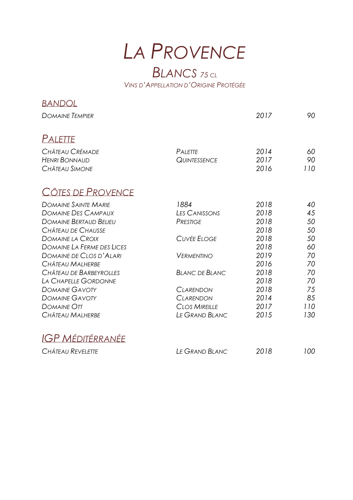*LA PROVENCE*

### *BLANCS <sup>75</sup> CL VINS D'APPELLATION D'ORIGINE PROTÉGÉE*

| <b>BANDOL</b>                     |                       |      |     |
|-----------------------------------|-----------------------|------|-----|
| <b>DOMAINE TEMPIER</b>            |                       | 2017 | 90  |
| <b>PALETTE</b>                    |                       |      |     |
| CHÂTEAU CRÉMADE                   | PALETTE               | 2014 | 60  |
| <b>HENRI BONNAUD</b>              | <b>QUINTESSENCE</b>   | 2017 | 90  |
| <b>CHÂTEAU SIMONE</b>             |                       | 2016 | 110 |
| CÔTES DE PROVENCE                 |                       |      |     |
| <b>DOMAINE SAINTE MARIE</b>       | 1884                  | 2018 | 40  |
| <b>DOMAINE DES CAMPAUX</b>        | <b>LES CANISSONS</b>  | 2018 | 45  |
| <b>DOMAINE BERTAUD BELIEU</b>     | <b>PRESTIGE</b>       | 2018 | 50  |
| CHÂTEAU DE CHAUSSE                |                       | 2018 | 50  |
| <b>DOMAINE LA CROIX</b>           | <b>CUVÉE ELOGE</b>    | 2018 | 50  |
| <b>DOMAINE LA FERME DES LICES</b> |                       | 2018 | 60  |
| DOMAINE DE CLOS D'ALARI           | <b>VERMENTINO</b>     | 2019 | 70  |
| CHÂTEAU MALHERBE                  |                       | 2016 | 70  |
| CHÂTEAU DE BARBEYROLLES           | <b>BLANC DE BLANC</b> | 2018 | 70  |
| LA CHAPELLE GORDONNE              |                       | 2018 | 70  |
| <b>DOMAINE GAVOTY</b>             | <b>CLARENDON</b>      | 2018 | 75  |
| <b>DOMAINE GAVOTY</b>             | <b>CLARENDON</b>      | 2014 | 85  |
| DOMAINE OTT                       | <b>CLOS MIREILLE</b>  | 2017 | 110 |
| CHÂTEAU MALHERBE                  | LE GRAND BLANC        | 2015 | 130 |
| <b>IGP MÉDITÉRRANÉE</b>           |                       |      |     |
| CHÂTEAU REVELETTE                 | LE GRAND BLANC        | 2018 | 100 |
|                                   |                       |      |     |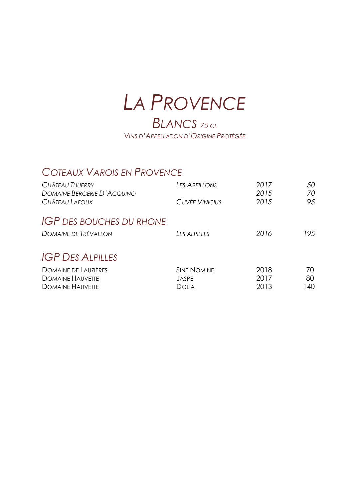## *LA PROVENCE BLANCS <sup>75</sup> CL*

*VINS D'APPELLATION D'ORIGINE PROTÉGÉE*

#### *COTEAUX VAROIS EN PROVENCE*

| <b>LES ABEILLONS</b><br><b>CUVÉE VINICIUS</b> | 2017<br>2015<br>2015 | 50<br>70<br>95 |
|-----------------------------------------------|----------------------|----------------|
| LES ALPILLES                                  | 2016                 | 195            |
| <b><i>SINE NOMINE</i></b><br>JASPE<br>Dolia   | 2018<br>2017<br>2013 | 70<br>80<br>40 |
|                                               |                      |                |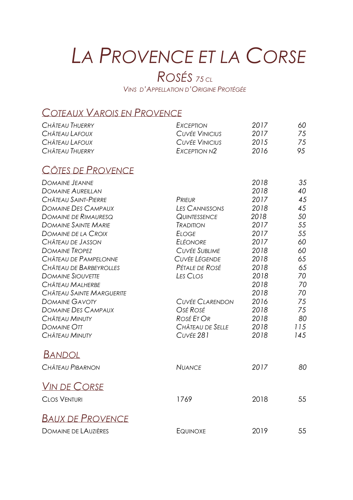# *LA PROVENCE ET LA CORSE*

### *ROSÉS <sup>75</sup> CL*

*VINS D'APPELLATION D'ORIGINE PROTÉGÉE*

### *COTEAUX VAROIS EN PROVENCE*

| CHÂTEAU THUERRY             | EXCEPTION                | 2017 | 60  |
|-----------------------------|--------------------------|------|-----|
| CHÂTEAU LAFOUX              | <b>CUVÉE VINICIUS</b>    | 2017 | 75  |
| CHÂTEAU LAFOUX              | <b>CUVÉE VINICIUS</b>    | 2015 | 75  |
| CHÂTEAU THUERRY             | EXCEPTION N <sub>2</sub> | 2016 | 95  |
| CÔTES DE PROVENCE           |                          |      |     |
| <b>DOMAINE JEANNE</b>       |                          | 2018 | 35  |
| <b>DOMAINE AUREILLAN</b>    |                          | 2018 | 40  |
| CHÂTEAU SAINT-PIERRE        | PRIEUR                   | 2017 | 45  |
| <b>DOMAINE DES CAMPAUX</b>  | <b>LES CANNISSONS</b>    | 2018 | 45  |
| DOMAINE DE RIMAURESQ        | <b>QUINTESSENCE</b>      | 2018 | 50  |
| <b>DOMAINE SAINTE MARIE</b> | <b><i>TRADITION</i></b>  | 2017 | 55  |
| <b>DOMAINE DE LA CROIX</b>  | <b>ELOGE</b>             | 2017 | 55  |
| CHÂTEAU DE JASSON           | <b>ELÉONORE</b>          | 2017 | 60  |
| <b>DOMAINE TROPEZ</b>       | <b>CUVÉE SUBLIME</b>     | 2018 | 60  |
| CHÂTEAU DE PAMPELONNE       | <b>CUVÉE LÉGENDE</b>     | 2018 | 65  |
| CHÂTEAU DE BARBEYROLLES     | Pétale de Rosé           | 2018 | 65  |
| <b>DOMAINE SIOUVETTE</b>    | LES CLOS                 | 2018 | 70  |
| CHÂTEAU MALHERBE            |                          | 2018 | 70  |
| CHÂTEAU SAINTE MARGUERITE   |                          | 2018 | 70  |
| <b>DOMAINE GAVOTY</b>       | <b>CUVÉE CLARENDON</b>   | 2016 | 75  |
| <b>DOMAINE DES CAMPAUX</b>  | Osé Rosé                 | 2018 | 75  |
| <b>CHÂTEAU MINUTY</b>       | ROSÉ ET OR               | 2018 | 80  |
| DOMAINE OTT                 | CHÂTEAU DE SELLE         | 2018 | 115 |
| CHÂTEAU MINUTY              | CUVÉE 281                | 2018 | 145 |
| <u>Bandol</u>               |                          |      |     |
| CHÂTEAU PIBARNON            | <b>NUANCE</b>            | 2017 | 80  |
| <b>VIN DE CORSE</b>         |                          |      |     |
| <b>CLOS VENTURI</b>         | 1769                     | 2018 | 55  |
|                             |                          |      |     |
| <b>BAUX DE PROVENCE</b>     |                          |      |     |
| <b>DOMAINE DE LAUZIÈRES</b> | <b>EQUINOXE</b>          | 2019 | 55  |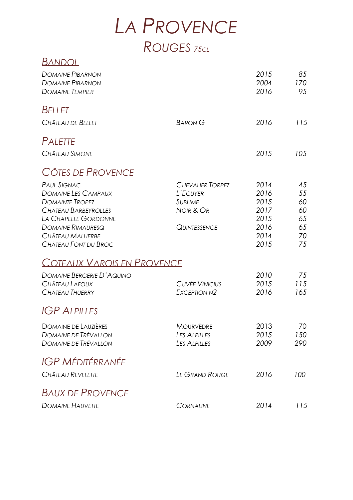## *LA PROVENCE ROUGES <sup>75</sup>CL*

| <u>Bandol</u>                     |                          |      |     |
|-----------------------------------|--------------------------|------|-----|
| <b>DOMAINE PIBARNON</b>           |                          | 2015 | 85  |
| <b>DOMAINE PIBARNON</b>           |                          | 2004 | 170 |
| <b>DOMAINE TEMPIER</b>            |                          | 2016 | 95  |
| <b>BELLET</b>                     |                          |      |     |
| CHÂTEAU DE BELLET                 | <b>BARON G</b>           | 2016 | 115 |
| Palette                           |                          |      |     |
| CHÂTEAU SIMONE                    |                          | 2015 | 105 |
| CÔTES DE PROVENCE                 |                          |      |     |
| <b>PAUL SIGNAC</b>                | <b>CHEVALIER TORPEZ</b>  | 2014 | 45  |
| <b>DOMAINE LES CAMPAUX</b>        | L'ECUYER                 | 2016 | 55  |
| <b>DOMAINTE TROPEZ</b>            | <b>SUBLIME</b>           | 2015 | 60  |
| CHÂTEAU BARBEYROLLES              | NOIR & OR                | 2017 | 60  |
| LA CHAPELLE GORDONNE              |                          | 2015 | 65  |
| <b>DOMAINE RIMAURESQ</b>          | <b>QUINTESSENCE</b>      | 2016 | 65  |
| CHÂTEAU MALHERBE                  |                          | 2014 | 70  |
| CHÂTEAU FONT DU BROC              |                          | 2015 | 75  |
| <b>COTEAUX VAROIS EN PROVENCE</b> |                          |      |     |
| <b>DOMAINE BERGERIE D'AQUINO</b>  |                          | 2010 | 75  |
| CHÂTEAU LAFOUX                    | <b>CUVÉE VINICIUS</b>    | 2015 | 115 |
| CHÂTEAU THUERRY                   | EXCEPTION N <sub>2</sub> | 2016 | 165 |
| $IGP$ ALPILLES                    |                          |      |     |
| <b>DOMAINE DE LAUZIÈRES</b>       | <b>MOURVÈDRE</b>         | 2013 | 70  |
| <b>DOMAINE DE TRÉVALLON</b>       | LES ALPILLES             | 2015 | 150 |
| <b>DOMAINE DE TRÉVALLON</b>       | LES ALPILLES             | 2009 | 290 |
| <b>IGP MÉDITÉRRANÉE</b>           |                          |      |     |
| CHÂTEAU REVELETTE                 | <b>LE GRAND ROUGE</b>    | 2016 | 100 |
| <b>BAUX DE PROVENCE</b>           |                          |      |     |
| <b>DOMAINE HAUVETTE</b>           | <b>CORNALINE</b>         | 2014 | 115 |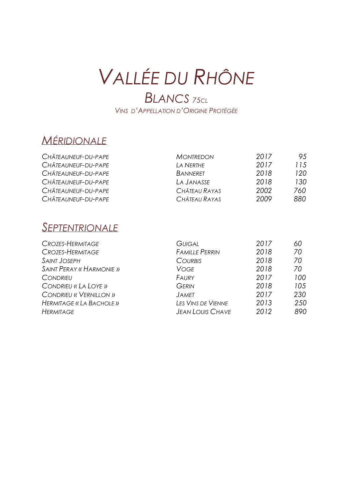# *VALLÉE DU RHÔNE*

### *BLANCS <sup>75</sup>CL VINS D'APPELLATION D'ORIGINE PROTÉGÉE*

### *MÉRIDIONALE*

| CHÂTEAUNEUF-DU-PAPE | <b>MONTREDON</b> | 2017 | 95   |
|---------------------|------------------|------|------|
| CHÂTEAUNEUF-DU-PAPE | LA NERTHE        | 2017 | 115  |
| CHÂTEAUNEUF-DU-PAPE | <b>BANNERET</b>  | 2018 | 120  |
| CHÂTEAUNEUF-DU-PAPE | LA JANASSE       | 2018 | 130  |
| CHÂTEAUNEUF-DU-PAPE | CHÂTEAU RAYAS    | 2002 | 760. |
| CHÂTEAUNEUF-DU-PAPE | CHÂTEAU RAYAS    | 2009 | 880  |

### *SEPTENTRIONALE*

| <b>CROZES-HERMITAGE</b>         | <b>GUIGAL</b>           | 2017 | 60  |
|---------------------------------|-------------------------|------|-----|
| CROZES-HERMITAGE                | <b>FAMILLE PERRIN</b>   | 2018 | 70  |
| <b>SAINT JOSEPH</b>             | <b>COURBIS</b>          | 2018 | 70  |
| <b>SAINT PERAY « HARMONIE »</b> | Voge                    | 2018 | 70  |
| <b>CONDRIEU</b>                 | FAURY                   | 2017 | 100 |
| CONDRIEU « LA LOYE »            | <b>GERIN</b>            | 2018 | 105 |
| <b>CONDRIEU « VERNILLON »</b>   | <b>JAMET</b>            | 2017 | 230 |
| HERMITAGE « LA BACHOLE »        | LES VINS DE VIENNE      | 2013 | 250 |
| <b>HERMITAGE</b>                | <b>JEAN LOUIS CHAVE</b> | 2012 | 890 |
|                                 |                         |      |     |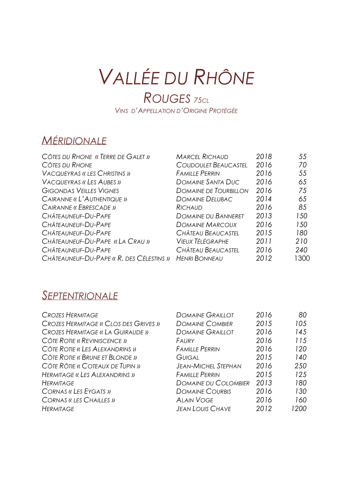# *VALLÉE DU RHÔNE*

*ROUGES <sup>75</sup>CL VINS D'APPELLATION D'ORIGINE PROTÉGÉE*

### *MÉRIDIONALE*

| CÔTES DU RHONE « TERRE DE GALET »        | <b>MARCEL RICHAUD</b>       | 2018 | 55   |
|------------------------------------------|-----------------------------|------|------|
| CÔTES DU RHONE                           | <b>COUDOULET BEAUCASTEL</b> | 2016 | 70   |
| <b>VACQUEYRAS « LES CHRISTINS »</b>      | <b>FAMILLE PERRIN</b>       | 2016 | 55   |
| <b>VACQUEYRAS « LES AUBES »</b>          | <b>DOMAINE SANTA DUC</b>    | 2016 | 65   |
| <b>GIGONDAS VEILLES VIGNES</b>           | DOMAINE DE TOURBILLON       | 2016 | 75   |
| CAIRANNE « L'AUTHENTIQUE »               | <b>DOMAINE DELUBAC</b>      | 2014 | 65   |
| CAIRANNE « EBRESCADE »                   | RICHAUD                     | 2016 | 85   |
| CHÂTEAUNEUF-DU-PAPE                      | <b>DOMAINE DU BANNERET</b>  | 2013 | 150  |
| CHÂTEAUNEUF-DU-PAPE                      | <b>DOMAINE MARCOUX</b>      | 2016 | 150  |
| CHÂTEAUNEUF-DU-PAPE                      | CHÂTEAU BEAUCASTEL          | 2015 | 180  |
| CHÂTEAUNEUF-DU-PAPE «LA CRAU »           | <b>VIEUX TÉLÉGRAPHE</b>     | 2011 | 210  |
| CHÂTEAUNEUF-DU-PAPE                      | CHÂTEAU BEAUCASTEL          | 2016 | 240  |
| CHÂTEAUNEUF-DU-PAPE « R. DES CÉLESTINS » | <b>HENRI BONNEAU</b>        | 2012 | 1300 |

### *SEPTENTRIONALE*

| <b>CROZES HERMITAGE</b>              | <b>DOMAINE GRAILLOT</b>     | 2016 | 80  |
|--------------------------------------|-----------------------------|------|-----|
| CROZES HERMITAGE « CLOS DES GRIVES » | <b>DOMAINE COMBIER</b>      | 2015 | 105 |
| CROZES HERMITAGE « LA GUIRAUDE »     | <b>DOMAINE GRAILLOT</b>     | 2016 | 145 |
| CÔTE ROTIE « REVINISCENCE »          | FAURY                       | 2016 | 115 |
| CÔTE ROTIE « LES ALEXANDRINS »       | <b>FAMILLE PERRIN</b>       | 2016 | 120 |
| CÔTE ROTIE « BRUNE ET BLONDE »       | Guigal                      | 2015 | 140 |
| CÔTE RÔTIE « COTEAUX DE TUPIN »      | <b>JEAN-MICHEL STEPHAN</b>  | 2016 | 250 |
| HERMITAGE « LES ALEXANDRINS »        | <b>FAMILLE PERRIN</b>       | 2015 | 125 |
| <b>HERMITAGE</b>                     | <b>DOMAINE DU COLOMBIER</b> | 2013 | 180 |
| CORNAS « LES EYGATS »                | <b>DOMAINE COURBIS</b>      | 2016 | 130 |
| <b>CORNAS «LES CHAILLES »</b>        | <b>ALAIN VOGE</b>           | 2016 | 160 |
| <b>HERMITAGE</b>                     | <b>JEAN LOUIS CHAVE</b>     | 2012 | 200 |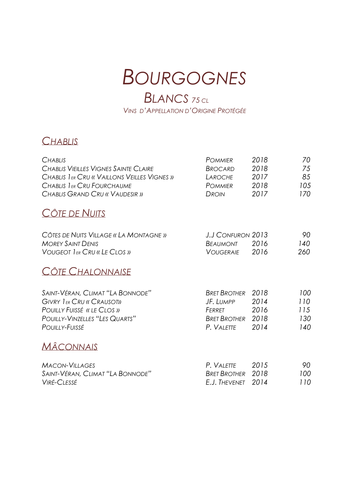## *BOURGOGNES*

### *BLANCS <sup>75</sup> CL VINS D'APPELLATION D'ORIGINE PROTÉGÉE*

#### *CHABLIS*

| <b>CHABLIS</b><br><b>CHABLIS VIEILLES VIGNES SAINTE CLAIRE</b><br>CHABLIS I ER CRU « VAILLONS VEILLES VIGNES »<br>CHABLIS 1ER CRU FOURCHAUME | <b>POMMIER</b><br><b>BROCARD</b><br>LAROCHE<br><b>POMMIER</b> | 2018<br>2018<br>2017<br>2018 | 70<br>75<br>85<br>105 |
|----------------------------------------------------------------------------------------------------------------------------------------------|---------------------------------------------------------------|------------------------------|-----------------------|
| CHABLIS GRAND CRU « VAUDESIR »                                                                                                               | DROIN                                                         | 2017                         | 170                   |
| CÔTE DE NUITS                                                                                                                                |                                                               |                              |                       |
| CÔTES DE NUITS VILLAGE « LA MONTAGNE »                                                                                                       | J.J CONFURON 2013                                             |                              | 90                    |
| <b>MOREY SAINT DENIS</b><br><b>VOUGEOT IER CRU « LE CLOS »</b>                                                                               | Beaumont                                                      | 2016<br>2016                 | 140<br>260            |
|                                                                                                                                              | <b>VOUGERAIE</b>                                              |                              |                       |
| CÔTE CHALONNAISE                                                                                                                             |                                                               |                              |                       |
| SAINT-VÉRAN, CLIMAT "LA BONNODE"                                                                                                             | <b>BRET BROTHER</b>                                           | 2018                         | 100                   |
| <b>GIVRY IER CRU « CRAUSOT»</b>                                                                                                              | JF. LUMPP                                                     | 2014                         | 110                   |
| POUILLY FUISSÉ « LE CLOS »                                                                                                                   | Ferret                                                        | 2016                         | 115                   |
| <b>POUILLY-VINZELLES "LES QUARTS"</b>                                                                                                        | <b>BRET BROTHER</b>                                           | 2018                         | 130                   |
| POUILLY-FUISSÉ                                                                                                                               | P. VALETTE                                                    | 2014                         | 140                   |
| <b>MACONNAIS</b>                                                                                                                             |                                                               |                              |                       |

| Macon-Villages                   | P. VAIFTTF               | -2015 | 90  |
|----------------------------------|--------------------------|-------|-----|
| SAINT-VÉRAN, CLIMAT "LA BONNODE" | <b>BRET BROTHER</b> 2018 |       | 100 |
| Viré-Clessé                      | E.J. Thevenet 2014       |       | 110 |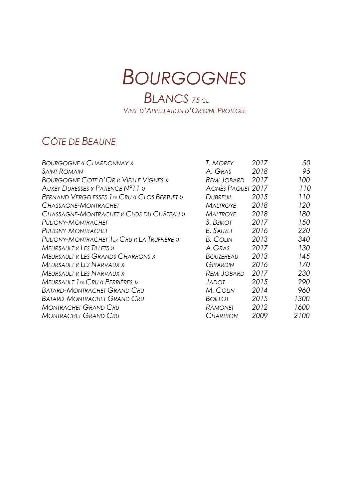## *BOURGOGNES*

### *BLANCS <sup>75</sup> CL VINS D'APPELLATION D'ORIGINE PROTÉGÉE*

### *CÔTE DE BEAUNE*

| <b>BOURGOGNE « CHARDONNAY »</b>               | T. MOREY                 | 2017 | 50   |
|-----------------------------------------------|--------------------------|------|------|
| <b>SAINT ROMAIN</b>                           | A. GRAS                  | 2018 | 95   |
| <b>BOURGOGNE COTE D'OR « VIEILLE VIGNES »</b> | <b>REMI JOBARD</b>       | 2017 | 100  |
| AUXEY DURESSES « PATIENCE N°11 »              | <b>AGNÈS PAQUET 2017</b> |      | 110  |
| PERNAND VERGELESSES I ER CRU « CLOS BERTHET » | <b>DUBREUIL</b>          | 2015 | 110  |
| CHASSAGNE-MONTRACHET                          | <b>MALTROYE</b>          | 2018 | 120  |
| CHASSAGNE-MONTRACHET « CLOS DU CHÂTEAU »      | <b>MALTROYE</b>          | 2018 | 180  |
| <b>PULIGNY-MONTRACHET</b>                     | S. BZIKOT                | 2017 | 150  |
| <b>PULIGNY-MONTRACHET</b>                     | E. SAUZET                | 2016 | 220  |
| PULIGNY-MONTRACHET I ER CRU « LA TRUFFIÈRE »  | <b>B. COLIN</b>          | 2013 | 340  |
| <b>MEURSAULT « LES TILLETS »</b>              | A.GRAS                   | 2017 | 130  |
| <b>MEURSAULT « LES GRANDS CHARRONS »</b>      | <b>BOUZEREAU</b>         | 2013 | 145  |
| <b>MEURSAULT « LES NARVAUX »</b>              | <b>GIRARDIN</b>          | 2016 | 170  |
| <b>MEURSAULT « LES NARVAUX »</b>              | <b>REMI JOBARD</b>       | 2017 | 230  |
| <b>MEURSAULT IER CRU « PERRIÈRES »</b>        | <b>JADOT</b>             | 2015 | 290  |
| <b>BATARD-MONTRACHET GRAND CRU</b>            | M. COLIN                 | 2014 | 960  |
| <b>BATARD-MONTRACHET GRAND CRU</b>            | BOILLOT                  | 2015 | 1300 |
| <b>MONTRACHET GRAND CRU</b>                   | Ramonet                  | 2012 | 1600 |
| <b>MONTRACHET GRAND CRU</b>                   | Chartron                 | 2009 | 2100 |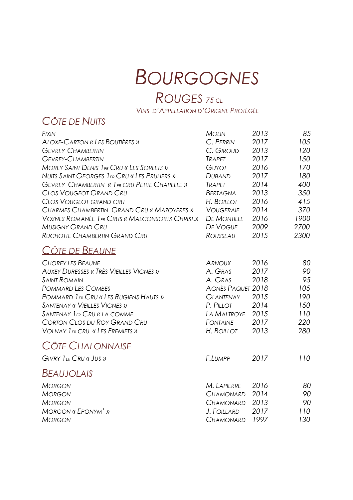# *BOURGOGNES*

### *ROUGES <sup>75</sup> CL*

*VINS D'APPELLATION D'ORIGINE PROTÉGÉE*

#### *CÔTE DE NUITS*

| <b>FIXIN</b>                                            | <b>MOLIN</b>             | 2013 | 85   |
|---------------------------------------------------------|--------------------------|------|------|
| <b>ALOXE-CARTON « LES BOUTIÈRES »</b>                   | C. PERRIN                | 2017 | 105  |
| <b>GEVREY-CHAMBERTIN</b>                                | C. GIROUD                | 2013 | 120  |
| <b>GEVREY-CHAMBERTIN</b>                                | <b>TRAPET</b>            | 2017 | 150  |
| <b>MOREY SAINT DENIS 1ER CRU « LES SORLETS »</b>        | <b>GUYOT</b>             | 2016 | 170  |
| NUITS SAINT GEORGES I ER CRU « LES PRULIERS »           | <b>DUBAND</b>            | 2017 | 180  |
| <b>GEVREY CHAMBERTIN « I ER CRU PETITE CHAPELLE »</b>   | <b>TRAPET</b>            | 2014 | 400  |
| <b>CLOS VOUGEOT GRAND CRU</b>                           | <b>BERTAGNA</b>          | 2013 | 350  |
| <b>CLOS VOUGEOT GRAND CRU</b>                           | H. BOILLOT               | 2016 | 415  |
| CHARMES CHAMBERTIN GRAND CRU « MAZOYÈRES »              | <b>VOUGERAIE</b>         | 2014 | 370  |
| <b>VOSNES ROMANÉE 1 ER CRUS « MALCONSORTS CHRIST.))</b> | <b>DE MONTILLE</b>       | 2016 | 1900 |
| <b>MUSIGNY GRAND CRU</b>                                | <b>DE VOGUE</b>          | 2009 | 2700 |
| RUCHOTTE CHAMBERTIN GRAND CRU                           | ROUSSEAU                 | 2015 | 2300 |
| CÔTE DE BEAUNE                                          |                          |      |      |
| <b>CHOREY LES BEAUNE</b>                                | <b>ARNOUX</b>            | 2016 | 80   |
| <b>AUXEY DURESSES « TRÈS VIEILLES VIGNES »</b>          | A. GRAS                  | 2017 | 90   |
| <b>SAINT ROMAIN</b>                                     | A. GRAS                  | 2018 | 95   |
| <b>POMMARD LES COMBES</b>                               | <b>AGNÈS PAQUET 2018</b> |      | 105  |
| POMMARD IER CRU « LES RUGIENS HAUTS »                   | <b>GLANTENAY</b>         | 2015 | 190  |
| <b>SANTENAY « VIEILLES VIGNES »</b>                     | P. PILLOT                | 2014 | 150  |
| SANTENAY LER CRU « LA COMME                             | <b>LA MALTROYE</b>       | 2015 | 110  |
| CORTON CLOS DU ROY GRAND CRU                            | <b>FONTAINE</b>          | 2017 | 220  |
| <b>VOLNAY IER CRU « LES FREMIETS »</b>                  | H. BOILLOT               | 2013 | 280  |
| CÔTE CHALONNAISE                                        |                          |      |      |
| GIVRY IER CRU « JUS »                                   | F.LUMPP                  | 2017 | 110  |
| <b>BEAUJOLAIS</b>                                       |                          |      |      |
| <b>MORGON</b>                                           | M. LAPIERRE              | 2016 | 80   |
| <b>MORGON</b>                                           | <b>CHAMONARD</b>         | 2014 | 90   |
| <b>MORGON</b>                                           | <b>CHAMONARD</b>         | 2013 | 90   |
| <b>MORGON « EPONYM' »</b>                               | <b>J. FOILLARD</b>       | 2017 | 110  |
| <b>MORGON</b>                                           | <b>CHAMONARD</b>         | 1997 | 130  |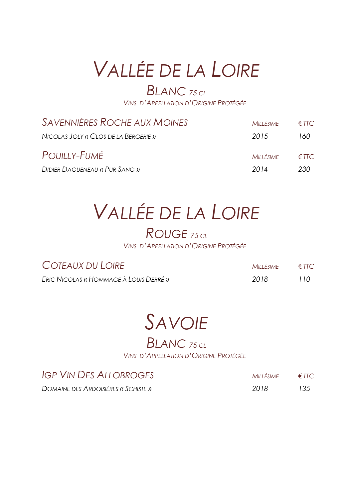# *VALLÉE DE LA LOIRE*

### *BLANC <sup>75</sup> CL*

*VINS D'APPELLATION D'ORIGINE PROTÉGÉE*

| <i>SAVENNIÈRES ROCHE AUX MOINES</i>  | MILLÉSIME | $\epsilon$ ttc            |
|--------------------------------------|-----------|---------------------------|
| NICOLAS JOLY « CLOS DE LA BERGERIE » | 2015      | 160                       |
| POUILLY-FUMÉ                         | MILLÉSIME | $\epsilon$ the $\epsilon$ |
| <b>DIDIER DAGUENEAU « PUR SANG »</b> | 2014      | 230.                      |

# *VALLÉE DE LA LOIRE*

### *ROUGE <sup>75</sup> CL*

*VINS D'APPELLATION D'ORIGINE PROTÉGÉE*

| COTEAUX DU LOIRE                       | MILLÉSIME $\epsilon$ TTC |      |
|----------------------------------------|--------------------------|------|
| ERIC NICOLAS « HOMMAGE À LOUIS DERRÉ » | -2018                    | 110. |

## *SAVOIE*

### *BLANC <sup>75</sup> CL VINS D'APPELLATION D'ORIGINE PROTÉGÉE*

| IGP VIN DES ALLOBROGES              | $MILLÉSIME \in FTC$ |     |
|-------------------------------------|---------------------|-----|
| DOMAINE DES ARDOISIÈRES « SCHISTE » | -2018               | 135 |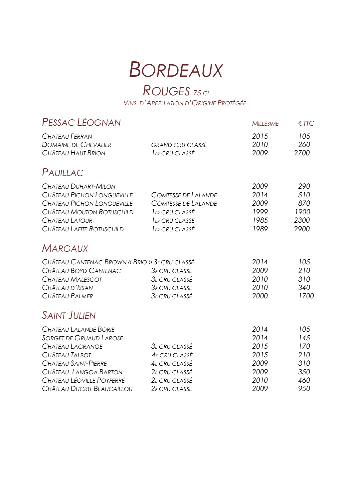## **BORDEAUX**

### ROUGES 75 CL

VINS D'APPELLATION D'ORIGINE PROTÉGÉE

| Pessac Léognan                                                                                                                                                              |                                                                                                                   | <b>MILLÉSIME</b>                                     | $E$ TTC                                       |
|-----------------------------------------------------------------------------------------------------------------------------------------------------------------------------|-------------------------------------------------------------------------------------------------------------------|------------------------------------------------------|-----------------------------------------------|
| CHÂTEAU FERRAN<br><b>DOMAINE DE CHEVALIER</b><br>CHÂTEAU HAUT BRION                                                                                                         | <b>GRAND CRU CLASSÉ</b><br>I ER CRU CLASSÉ                                                                        | 2015<br>2010<br>2009                                 | 105<br>260<br>2700                            |
| PAUILLAC                                                                                                                                                                    |                                                                                                                   |                                                      |                                               |
| CHÂTEAU DUHART-MILON<br>CHÂTEAU PICHON LONGUEVILLE<br>CHÂTEAU PICHON LONGUEVILLE<br>CHÂTEAU MOUTON ROTHSCHILD<br>CHÂTEAU LATOUR<br>CHÂTEAU LAFITE ROTHSCHILD                | <b>COMTESSE DE LALANDE</b><br><b>COMTESSE DE LALANDE</b><br>I ER CRU CLASSÉ<br>I ER CRU CLASSÉ<br>I ER CRU CLASSÉ | 2009<br>2014<br>2009<br>1999<br>1985<br>1989         | 290<br>510<br>870<br>1900<br>2300<br>2900     |
| <b>MARGAUX</b>                                                                                                                                                              |                                                                                                                   |                                                      |                                               |
| CHÂTEAU CANTENAC BROWN « BRIO » 3E CRU CLASSÉ<br>CHÂTEAU BOYD CANTENAC<br>CHÂTEAU MALESCOT<br>CHÂTEAU D'ISSAN<br>CHÂTEAU PALMER                                             | $3E$ CRU CLASSÉ<br>3E CRU CLASSÉ<br>3E CRU CLASSÉ<br><b>3E CRU CLASSÉ</b>                                         | 2014<br>2009<br>2010<br>2010<br>2000                 | 105<br>210<br>310<br>340<br>1700              |
| <u>SAINT JULIEN</u>                                                                                                                                                         |                                                                                                                   |                                                      |                                               |
| CHÂTEAU LALANDE BORIE<br><b>SORGET DE GRUAUD LAROSE</b><br>CHÂTEAU LAGRANGE<br>CHÂTEAU TALBOT<br>CHÂTEAU SAINT-PIERRE<br>CHÂTEAU LANGOA BARTON<br>CHÂTEAU LÉOVILLE POYFERRÉ | 3E CRU CLASSÉ<br>4E CRU CLASSÉ<br>$4E$ CRU CLASSÉ<br>2 <sub>E</sub> CRU CLASSÉ<br>2 <sub>E</sub> CRU CLASSÉ       | 2014<br>2014<br>2015<br>2015<br>2009<br>2009<br>2010 | 105<br>145<br>170<br>210<br>310<br>350<br>460 |
| CHÂTEAU DUCRU-BEAUCAILLOU                                                                                                                                                   | $2E$ CRU CLASSÉ                                                                                                   | 2009                                                 | 950                                           |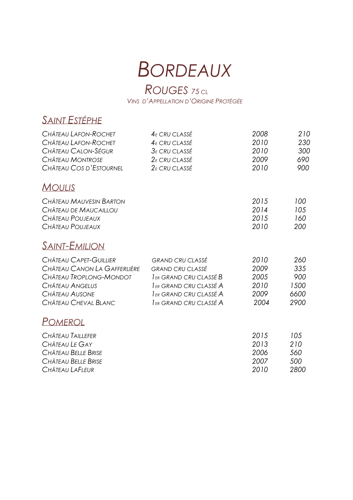# *BORDEAUX*

#### *ROUGES <sup>75</sup> CL VINS D'APPELLATION D'ORIGINE PROTÉGÉE*

### *SAINT ESTÉPHE*

| CHÂTEAU LAFON-ROCHET         | $4E$ CRU CLASSÉ           | 2008 | 210  |
|------------------------------|---------------------------|------|------|
| CHÂTEAU LAFON-ROCHET         | $4E$ CRU CLASSÉ           | 2010 | 230  |
| CHÂTEAU CALON-SÉGUR          | $3\varepsilon$ CRU CLASSÉ | 2010 | 300  |
| <b>CHÂTEAU MONTROSE</b>      | $2E$ CRU CLASSÉ           | 2009 | 690  |
| CHÂTEAU COS D'ESTOURNEL      | $2\varepsilon$ CRU CLASSÉ | 2010 | 900  |
| <b>MOULIS</b>                |                           |      |      |
| CHÂTEAU MAUVESIN BARTON      |                           | 2015 | 100  |
| CHÂTEAU DE MAUCAILLOU        |                           | 2014 | 105  |
| CHÂTEAU POUJEAUX             |                           | 2015 | 160  |
| CHÂTEAU POUJEAUX             |                           | 2010 | 200  |
| <b>SAINT-EMILION</b>         |                           |      |      |
| CHÂTEAU CAPET-GUILLIER       | <b>GRAND CRU CLASSÉ</b>   | 2010 | 260  |
| CHÂTEAU CANON LA GAFFERLIÈRE | <b>GRAND CRU CLASSÉ</b>   | 2009 | 335  |
| CHÂTEAU TROPLONG-MONDOT      | LER GRAND CRU CLASSÉ B    | 2005 | 900  |
| <b>CHÂTEAU ANGELUS</b>       | LER GRAND CRU CLASSÉ A    | 2010 | 1500 |
| <b>CHÂTEAU AUSONE</b>        | LER GRAND CRU CLASSÉ A    | 2009 | 6600 |
| CHÂTEAU CHEVAL BLANC         | LER GRAND CRU CLASSÉ A    | 2004 | 2900 |
| POMEROL                      |                           |      |      |
| CHÂTEAU TAILLEFER            |                           | 2015 | 105  |
| CHÂTEAU LE GAY               |                           | 2013 | 210  |
| CHÂTEAU BELLE BRISE          |                           | 2006 | 560  |
| CHÂTEAU BELLE BRISE          |                           | 2007 | 500  |
| CHÂTEAU LAFLEUR              |                           | 2010 | 2800 |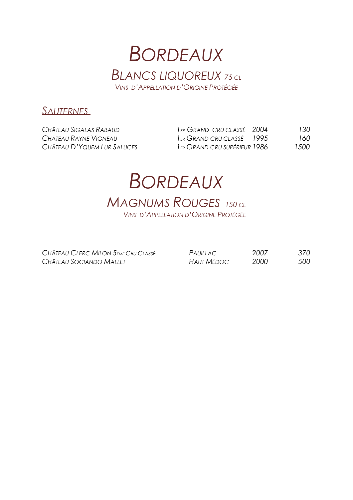### **BORDEAUX BLANCS LIQUOREUX 75 CL** VINS D'APPELLATION D'ORIGINE PROTÉGÉE

### SAUTERNES

| CHÂTEAU SIGALAS RABAUD      | IER GRAND CRU CLASSÉ 2004             | 130  |
|-----------------------------|---------------------------------------|------|
| CHÂTEAU RAYNE VIGNEAU       | I <sub>ER</sub> GRAND CRU CLASSÉ 1995 | 160  |
| CHÂTEAU D'YQUEM LUR SALUCES | I ER GRAND CRU SUPÉRIEUR 1986         | 1500 |

### **BORDEAUX MAGNUMS ROUGES** 150 CL **VINS D'APPELLATION D'ORIGINE PROTÉGÉE**

CHÂTEAU CLERC MILON 5<sub>ÈME</sub> CRU CLASSÉ CHÂTEAU SOCIANDO MALLET

| PAUILLAC          | 2007 | 370 |
|-------------------|------|-----|
| <b>HAUT MÉDOC</b> | 2000 | 500 |